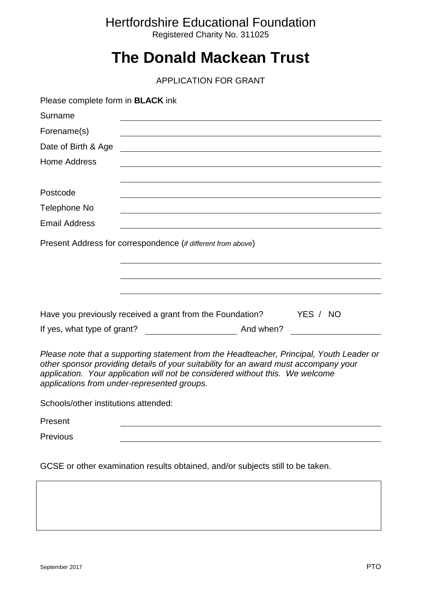### Hertfordshire Educational Foundation

Registered Charity No. 311025

## **The Donald Mackean Trust**

APPLICATION FOR GRANT

| Please complete form in <b>BLACK</b> ink                                                                                                                                                                                                                                                                         |
|------------------------------------------------------------------------------------------------------------------------------------------------------------------------------------------------------------------------------------------------------------------------------------------------------------------|
| Surname                                                                                                                                                                                                                                                                                                          |
| Forename(s)                                                                                                                                                                                                                                                                                                      |
| Date of Birth & Age                                                                                                                                                                                                                                                                                              |
| <b>Home Address</b>                                                                                                                                                                                                                                                                                              |
| Postcode                                                                                                                                                                                                                                                                                                         |
| Telephone No                                                                                                                                                                                                                                                                                                     |
| <b>Email Address</b>                                                                                                                                                                                                                                                                                             |
| Present Address for correspondence (if different from above)                                                                                                                                                                                                                                                     |
| Have you previously received a grant from the Foundation?<br>YES / NO                                                                                                                                                                                                                                            |
|                                                                                                                                                                                                                                                                                                                  |
| Please note that a supporting statement from the Headteacher, Principal, Youth Leader or<br>other sponsor providing details of your suitability for an award must accompany your<br>application. Your application will not be considered without this. We welcome<br>applications from under-represented groups. |
| Schools/other institutions attended:                                                                                                                                                                                                                                                                             |
| Present                                                                                                                                                                                                                                                                                                          |
| Previous                                                                                                                                                                                                                                                                                                         |
|                                                                                                                                                                                                                                                                                                                  |

GCSE or other examination results obtained, and/or subjects still to be taken.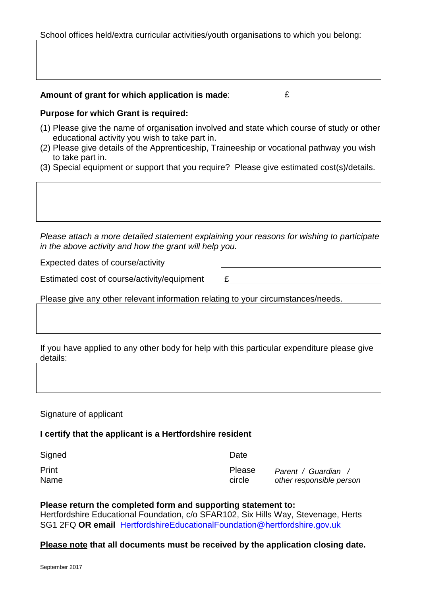School offices held/extra curricular activities/youth organisations to which you belong:

#### **Amount of grant for which application is made**: £

#### **Purpose for which Grant is required:**

- (1) Please give the name of organisation involved and state which course of study or other educational activity you wish to take part in.
- (2) Please give details of the Apprenticeship, Traineeship or vocational pathway you wish to take part in.
- (3) Special equipment or support that you require? Please give estimated cost(s)/details.

*Please attach a more detailed statement explaining your reasons for wishing to participate in the above activity and how the grant will help you.*

Expected dates of course/activity

Estimated cost of course/activity/equipment  $E$ 

Please give any other relevant information relating to your circumstances/needs.

If you have applied to any other body for help with this particular expenditure please give details:

Signature of applicant

#### **I certify that the applicant is a Hertfordshire resident**

| Signed | Date   |                          |
|--------|--------|--------------------------|
| Print  | Please | Parent / Guardian        |
| Name   | circle | other responsible person |

#### **Please return the completed form and supporting statement to:**

Hertfordshire Educational Foundation, c/o SFAR102, Six Hills Way, Stevenage, Herts SG1 2FQ **OR email** [HertfordshireEducationalFoundation@hertfordshire.gov.uk](mailto:HertfordshireEducationalFoundation@hertfordshire.gov.uk)

#### **Please note that all documents must be received by the application closing date.**